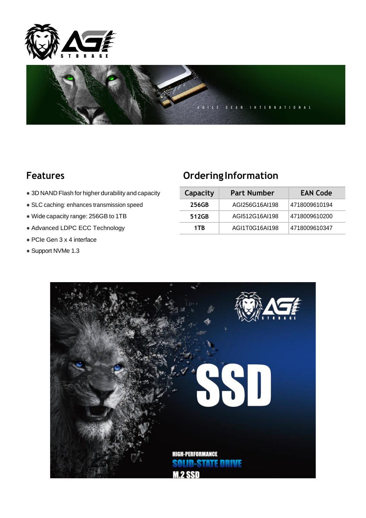



- $\bullet$  3D NAND Flash for higher durability and capacity
- **SLC caching: enhances transmission speed**
- $\bullet$  Wide capacity range: 256GB to 1TB
- $\bullet$  Advanced LDPC ECC Technology
- PCIe Gen 3 x 4 interface
- Support NVMe 1.3

## **Features Ordering Information**

| Capacity | <b>Part Number</b> | <b>EAN Code</b> |  |  |
|----------|--------------------|-----------------|--|--|
| 256GB    | AGI256G16AI198     | 4718009610194   |  |  |
| 512GB    | AGI512G16AI198     | 4718009610200   |  |  |
| 1TB      | AGI1T0G16AI198     | 4718009610347   |  |  |